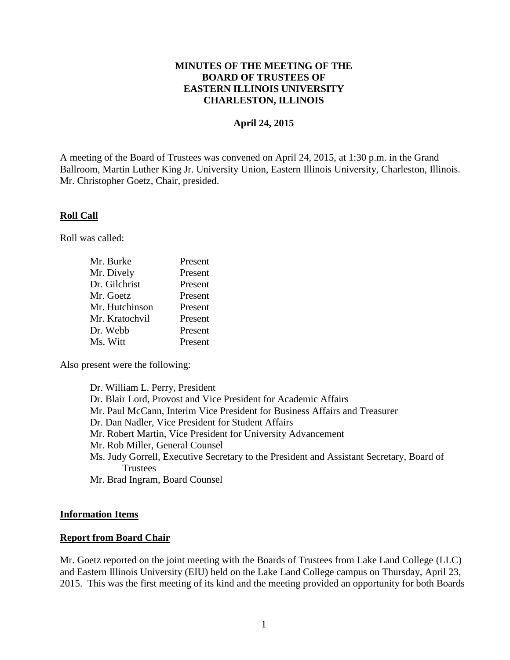## **MINUTES OF THE MEETING OF THE BOARD OF TRUSTEES OF EASTERN ILLINOIS UNIVERSITY CHARLESTON, ILLINOIS**

#### **April 24, 2015**

A meeting of the Board of Trustees was convened on April 24, 2015, at 1:30 p.m. in the Grand Ballroom, Martin Luther King Jr. University Union, Eastern Illinois University, Charleston, Illinois. Mr. Christopher Goetz, Chair, presided.

#### **Roll Call**

Roll was called:

| Mr. Burke      | Present |
|----------------|---------|
| Mr. Dively     | Present |
| Dr. Gilchrist  | Present |
| Mr. Goetz      | Present |
| Mr. Hutchinson | Present |
| Mr. Kratochvil | Present |
| Dr. Webb       | Present |
| Ms. Witt       | Present |

Also present were the following:

Dr. William L. Perry, President Dr. Blair Lord, Provost and Vice President for Academic Affairs Mr. Paul McCann, Interim Vice President for Business Affairs and Treasurer Dr. Dan Nadler, Vice President for Student Affairs Mr. Robert Martin, Vice President for University Advancement Mr. Rob Miller, General Counsel Ms. Judy Gorrell, Executive Secretary to the President and Assistant Secretary, Board of **Trustees** Mr. Brad Ingram, Board Counsel

#### **Information Items**

#### **Report from Board Chair**

Mr. Goetz reported on the joint meeting with the Boards of Trustees from Lake Land College (LLC) and Eastern Illinois University (EIU) held on the Lake Land College campus on Thursday, April 23, 2015. This was the first meeting of its kind and the meeting provided an opportunity for both Boards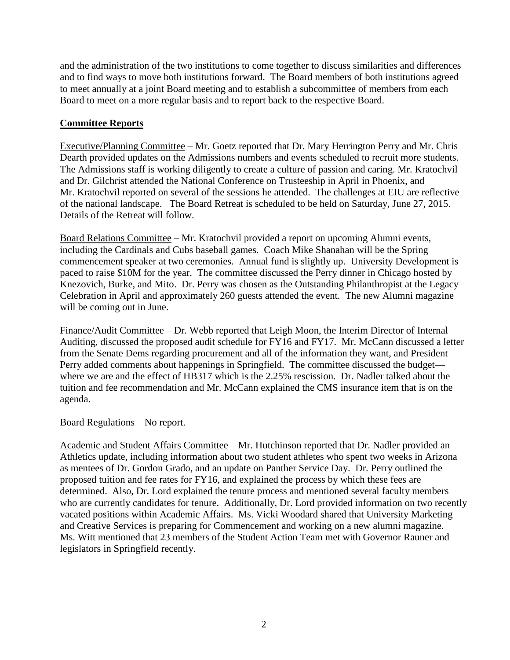and the administration of the two institutions to come together to discuss similarities and differences and to find ways to move both institutions forward. The Board members of both institutions agreed to meet annually at a joint Board meeting and to establish a subcommittee of members from each Board to meet on a more regular basis and to report back to the respective Board.

# **Committee Reports**

Executive/Planning Committee – Mr. Goetz reported that Dr. Mary Herrington Perry and Mr. Chris Dearth provided updates on the Admissions numbers and events scheduled to recruit more students. The Admissions staff is working diligently to create a culture of passion and caring. Mr. Kratochvil and Dr. Gilchrist attended the National Conference on Trusteeship in April in Phoenix, and Mr. Kratochvil reported on several of the sessions he attended. The challenges at EIU are reflective of the national landscape. The Board Retreat is scheduled to be held on Saturday, June 27, 2015. Details of the Retreat will follow.

Board Relations Committee – Mr. Kratochvil provided a report on upcoming Alumni events, including the Cardinals and Cubs baseball games. Coach Mike Shanahan will be the Spring commencement speaker at two ceremonies. Annual fund is slightly up. University Development is paced to raise \$10M for the year. The committee discussed the Perry dinner in Chicago hosted by Knezovich, Burke, and Mito. Dr. Perry was chosen as the Outstanding Philanthropist at the Legacy Celebration in April and approximately 260 guests attended the event. The new Alumni magazine will be coming out in June.

Finance/Audit Committee – Dr. Webb reported that Leigh Moon, the Interim Director of Internal Auditing, discussed the proposed audit schedule for FY16 and FY17. Mr. McCann discussed a letter from the Senate Dems regarding procurement and all of the information they want, and President Perry added comments about happenings in Springfield. The committee discussed the budget where we are and the effect of HB317 which is the 2.25% rescission. Dr. Nadler talked about the tuition and fee recommendation and Mr. McCann explained the CMS insurance item that is on the agenda.

# Board Regulations – No report.

Academic and Student Affairs Committee – Mr. Hutchinson reported that Dr. Nadler provided an Athletics update, including information about two student athletes who spent two weeks in Arizona as mentees of Dr. Gordon Grado, and an update on Panther Service Day. Dr. Perry outlined the proposed tuition and fee rates for FY16, and explained the process by which these fees are determined. Also, Dr. Lord explained the tenure process and mentioned several faculty members who are currently candidates for tenure. Additionally, Dr. Lord provided information on two recently vacated positions within Academic Affairs. Ms. Vicki Woodard shared that University Marketing and Creative Services is preparing for Commencement and working on a new alumni magazine. Ms. Witt mentioned that 23 members of the Student Action Team met with Governor Rauner and legislators in Springfield recently.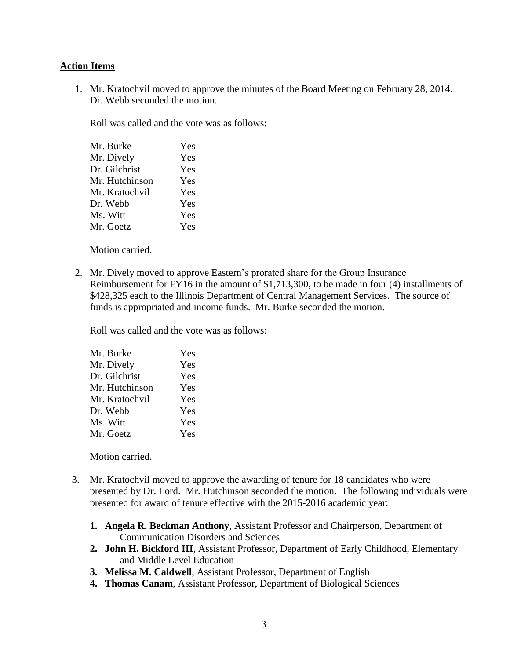## **Action Items**

1. Mr. Kratochvil moved to approve the minutes of the Board Meeting on February 28, 2014. Dr. Webb seconded the motion.

Roll was called and the vote was as follows:

| Mr. Burke      | Yes |
|----------------|-----|
| Mr. Dively     | Yes |
| Dr. Gilchrist  | Yes |
| Mr. Hutchinson | Yes |
| Mr. Kratochvil | Yes |
| Dr. Webb       | Yes |
| Ms. Witt       | Yes |
| Mr. Goetz      | Yes |
|                |     |

Motion carried.

2. Mr. Dively moved to approve Eastern's prorated share for the Group Insurance Reimbursement for FY16 in the amount of \$1,713,300, to be made in four (4) installments of \$428,325 each to the Illinois Department of Central Management Services. The source of funds is appropriated and income funds. Mr. Burke seconded the motion.

Roll was called and the vote was as follows:

| Mr. Burke      | Yes |
|----------------|-----|
| Mr. Dively     | Yes |
| Dr. Gilchrist  | Yes |
| Mr. Hutchinson | Yes |
| Mr. Kratochvil | Yes |
| Dr. Webb       | Yes |
| Ms. Witt       | Yes |
| Mr. Goetz      | Yes |
|                |     |

Motion carried.

- 3. Mr. Kratochvil moved to approve the awarding of tenure for 18 candidates who were presented by Dr. Lord. Mr. Hutchinson seconded the motion. The following individuals were presented for award of tenure effective with the 2015-2016 academic year:
	- **1. Angela R. Beckman Anthony**, Assistant Professor and Chairperson, Department of Communication Disorders and Sciences
	- **2. John H. Bickford III**, Assistant Professor, Department of Early Childhood, Elementary and Middle Level Education
	- **3. Melissa M. Caldwell**, Assistant Professor, Department of English
	- **4. Thomas Canam**, Assistant Professor, Department of Biological Sciences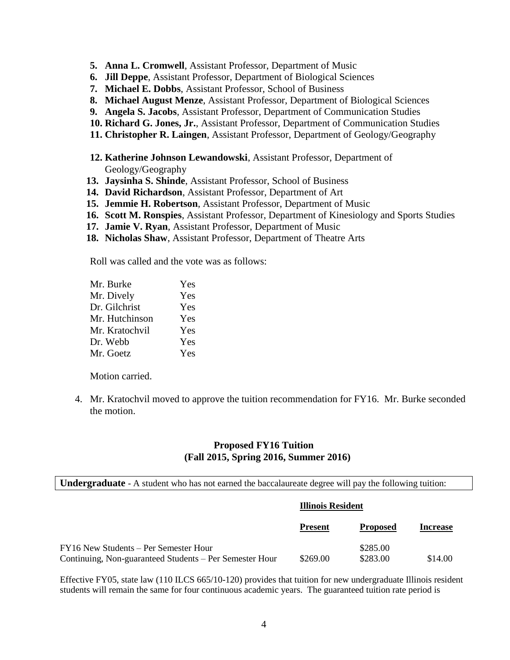- **5. Anna L. Cromwell**, Assistant Professor, Department of Music
- **6. Jill Deppe**, Assistant Professor, Department of Biological Sciences
- **7. Michael E. Dobbs**, Assistant Professor, School of Business
- **8. Michael August Menze**, Assistant Professor, Department of Biological Sciences
- **9. Angela S. Jacobs**, Assistant Professor, Department of Communication Studies
- **10. Richard G. Jones, Jr.**, Assistant Professor, Department of Communication Studies
- **11. Christopher R. Laingen**, Assistant Professor, Department of Geology/Geography
- **12. Katherine Johnson Lewandowski**, Assistant Professor, Department of Geology/Geography
- **13. Jaysinha S. Shinde**, Assistant Professor, School of Business
- **14. David Richardson**, Assistant Professor, Department of Art
- **15. Jemmie H. Robertson**, Assistant Professor, Department of Music
- **16. Scott M. Ronspies**, Assistant Professor, Department of Kinesiology and Sports Studies
- **17. Jamie V. Ryan**, Assistant Professor, Department of Music
- **18. Nicholas Shaw**, Assistant Professor, Department of Theatre Arts

Roll was called and the vote was as follows:

| Mr. Burke      | Yes |
|----------------|-----|
| Mr. Dively     | Yes |
| Dr. Gilchrist  | Yes |
| Mr. Hutchinson | Yes |
| Mr. Kratochvil | Yes |
| Dr. Webb       | Yes |
| Mr. Goetz      | Yes |

Motion carried.

4. Mr. Kratochvil moved to approve the tuition recommendation for FY16. Mr. Burke seconded the motion.

#### **Proposed FY16 Tuition (Fall 2015, Spring 2016, Summer 2016)**

**Undergraduate** - A student who has not earned the baccalaureate degree will pay the following tuition:

|                                                                                                  | Illinois Resident |                      |                 |
|--------------------------------------------------------------------------------------------------|-------------------|----------------------|-----------------|
|                                                                                                  | <b>Present</b>    | <b>Proposed</b>      | <b>Increase</b> |
| FY16 New Students – Per Semester Hour<br>Continuing, Non-guaranteed Students – Per Semester Hour | \$269.00          | \$285.00<br>\$283.00 | \$14.00         |

Effective FY05, state law (110 ILCS 665/10-120) provides that tuition for new undergraduate Illinois resident students will remain the same for four continuous academic years. The guaranteed tuition rate period is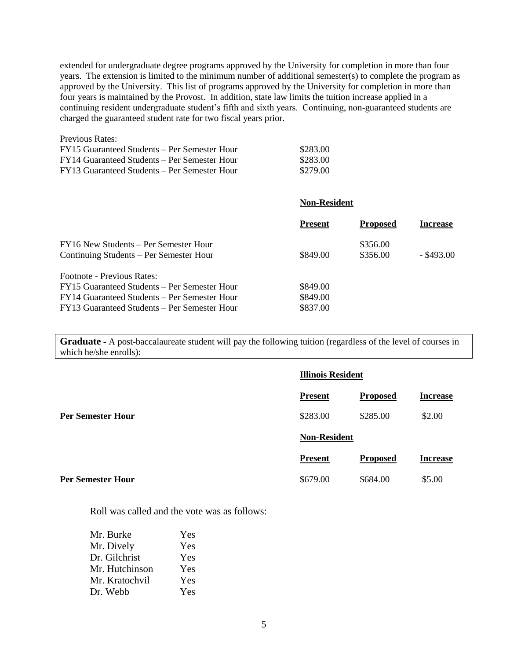extended for undergraduate degree programs approved by the University for completion in more than four years. The extension is limited to the minimum number of additional semester(s) to complete the program as approved by the University. This list of programs approved by the University for completion in more than four years is maintained by the Provost. In addition, state law limits the tuition increase applied in a continuing resident undergraduate student's fifth and sixth years. Continuing, non-guaranteed students are charged the guaranteed student rate for two fiscal years prior.

| FY15 Guaranteed Students – Per Semester Hour | \$283.00 |
|----------------------------------------------|----------|
| FY14 Guaranteed Students – Per Semester Hour | \$283.00 |
| FY13 Guaranteed Students – Per Semester Hour | \$279.00 |

|                                                                                                                                                                            | <b>Non-Resident</b>              |                      |                 |
|----------------------------------------------------------------------------------------------------------------------------------------------------------------------------|----------------------------------|----------------------|-----------------|
|                                                                                                                                                                            | <b>Present</b>                   | <b>Proposed</b>      | <b>Increase</b> |
| FY16 New Students – Per Semester Hour<br>Continuing Students – Per Semester Hour                                                                                           | \$849.00                         | \$356.00<br>\$356.00 | $-$ \$493.00    |
| Footnote - Previous Rates:<br>FY15 Guaranteed Students – Per Semester Hour<br>FY14 Guaranteed Students – Per Semester Hour<br>FY13 Guaranteed Students – Per Semester Hour | \$849.00<br>\$849.00<br>\$837.00 |                      |                 |

**Graduate -** A post-baccalaureate student will pay the following tuition (regardless of the level of courses in which he/she enrolls):

|                          | <b>Illinois Resident</b> |                 |                 |  |
|--------------------------|--------------------------|-----------------|-----------------|--|
|                          | <b>Present</b>           | <b>Proposed</b> | <b>Increase</b> |  |
| <b>Per Semester Hour</b> | \$283.00                 | \$285.00        | \$2.00          |  |
|                          | <b>Non-Resident</b>      |                 |                 |  |
|                          | <b>Present</b>           | <b>Proposed</b> | <b>Increase</b> |  |
| <b>Per Semester Hour</b> | \$679.00                 | \$684.00        | \$5.00          |  |

Roll was called and the vote was as follows:

| Mr. Burke      | Yes |
|----------------|-----|
| Mr. Dively     | Yes |
| Dr. Gilchrist  | Yes |
| Mr. Hutchinson | Yes |
| Mr. Kratochvil | Yes |
| Dr. Webb       | Yes |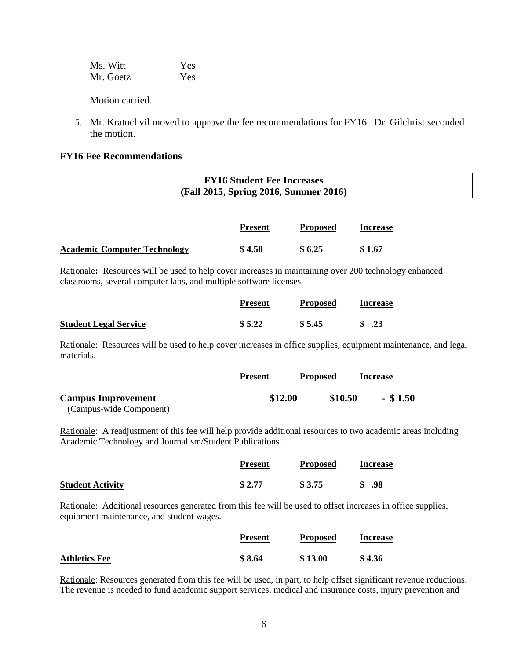| Ms. Witt  | Yes |
|-----------|-----|
| Mr. Goetz | Yes |

Motion carried.

5. Mr. Kratochvil moved to approve the fee recommendations for FY16. Dr. Gilchrist seconded the motion.

#### **FY16 Fee Recommendations**

| <b>FY16 Student Fee Increases</b>     |  |
|---------------------------------------|--|
| (Fall 2015, Spring 2016, Summer 2016) |  |
|                                       |  |

|                                     | <b>Present</b> | <b>Proposed</b> | Increase |
|-------------------------------------|----------------|-----------------|----------|
| <b>Academic Computer Technology</b> | \$4.58         | \$6.25          | \$1.67   |

Rationale**:** Resources will be used to help cover increases in maintaining over 200 technology enhanced classrooms, several computer labs, and multiple software licenses.

|                              | <b>Present</b> | <b>Proposed</b> | Increase |
|------------------------------|----------------|-----------------|----------|
| <b>Student Legal Service</b> | \$5.22         | \$5.45          | \$.23    |

Rationale: Resources will be used to help cover increases in office supplies, equipment maintenance, and legal materials.

|                           | <b>Present</b> | <b>Proposed</b> | <b>Increase</b> |
|---------------------------|----------------|-----------------|-----------------|
| <b>Campus Improvement</b> | \$12.00        | \$10.50         | $-$ \$ 1.50     |
| (Campus-wide Component)   |                |                 |                 |

Rationale: A readjustment of this fee will help provide additional resources to two academic areas including Academic Technology and Journalism/Student Publications.

|                         | <b>Present</b> | <b>Proposed</b> | <b>Increase</b> |
|-------------------------|----------------|-----------------|-----------------|
| <b>Student Activity</b> | \$2.77         | \$3.75          | \$.98           |

Rationale: Additional resources generated from this fee will be used to offset increases in office supplies, equipment maintenance, and student wages.

|                      | <b>Present</b> | <b>Proposed</b> | Increase |
|----------------------|----------------|-----------------|----------|
| <b>Athletics Fee</b> | \$8.64         | \$13.00         | \$4.36   |

Rationale: Resources generated from this fee will be used, in part, to help offset significant revenue reductions. The revenue is needed to fund academic support services, medical and insurance costs, injury prevention and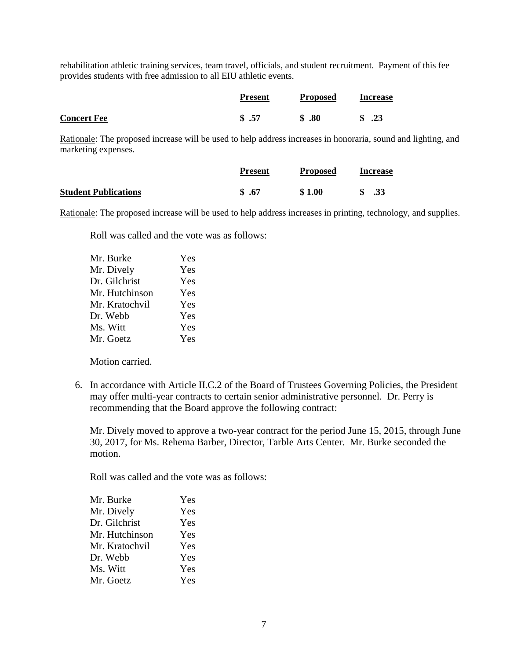rehabilitation athletic training services, team travel, officials, and student recruitment. Payment of this fee provides students with free admission to all EIU athletic events.

|                    | <b>Present</b> | <b>Proposed</b> | <b>Increase</b> |
|--------------------|----------------|-----------------|-----------------|
| <b>Concert Fee</b> | \$.57          | $\$\,.80$       | \$ .23          |

Rationale: The proposed increase will be used to help address increases in honoraria, sound and lighting, and marketing expenses.

|                             | <b>Present</b> | <b>Proposed</b> | <b>Increase</b> |
|-----------------------------|----------------|-----------------|-----------------|
| <b>Student Publications</b> | \$.67          | \$1.00          | .33             |

Rationale: The proposed increase will be used to help address increases in printing, technology, and supplies.

Roll was called and the vote was as follows:

| Yes |
|-----|
| Yes |
| Yes |
| Yes |
| Yes |
| Yes |
| Yes |
| Yes |
|     |

Motion carried.

6. In accordance with Article II.C.2 of the Board of Trustees Governing Policies, the President may offer multi-year contracts to certain senior administrative personnel. Dr. Perry is recommending that the Board approve the following contract:

Mr. Dively moved to approve a two-year contract for the period June 15, 2015, through June 30, 2017, for Ms. Rehema Barber, Director, Tarble Arts Center. Mr. Burke seconded the motion.

Roll was called and the vote was as follows:

| Mr. Burke      | Yes |
|----------------|-----|
| Mr. Dively     | Yes |
| Dr. Gilchrist  | Yes |
| Mr. Hutchinson | Yes |
| Mr. Kratochvil | Yes |
| Dr. Webb       | Yes |
| Ms. Witt       | Yes |
| Mr. Goetz      | Yes |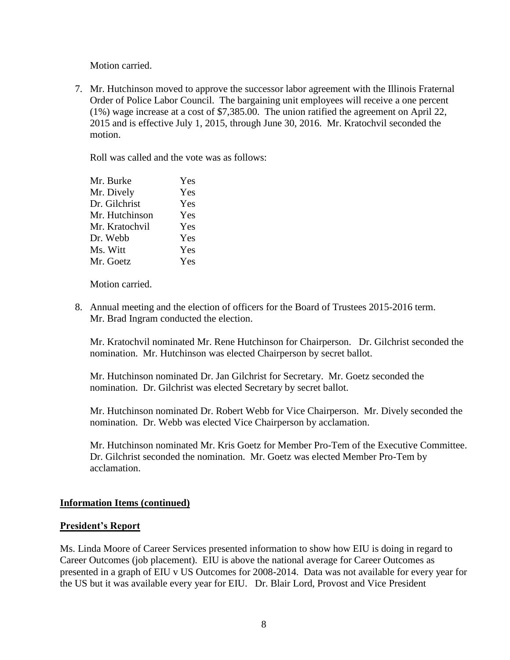Motion carried.

7. Mr. Hutchinson moved to approve the successor labor agreement with the Illinois Fraternal Order of Police Labor Council. The bargaining unit employees will receive a one percent (1%) wage increase at a cost of \$7,385.00. The union ratified the agreement on April 22, 2015 and is effective July 1, 2015, through June 30, 2016. Mr. Kratochvil seconded the motion.

Roll was called and the vote was as follows:

| Mr. Burke      | Yes |
|----------------|-----|
| Mr. Dively     | Yes |
| Dr. Gilchrist  | Yes |
| Mr. Hutchinson | Yes |
| Mr. Kratochvil | Yes |
| Dr. Webb       | Yes |
| Ms. Witt       | Yes |
| Mr. Goetz      | Yes |
|                |     |

Motion carried.

8. Annual meeting and the election of officers for the Board of Trustees 2015-2016 term. Mr. Brad Ingram conducted the election.

Mr. Kratochvil nominated Mr. Rene Hutchinson for Chairperson. Dr. Gilchrist seconded the nomination. Mr. Hutchinson was elected Chairperson by secret ballot.

Mr. Hutchinson nominated Dr. Jan Gilchrist for Secretary. Mr. Goetz seconded the nomination. Dr. Gilchrist was elected Secretary by secret ballot.

Mr. Hutchinson nominated Dr. Robert Webb for Vice Chairperson. Mr. Dively seconded the nomination. Dr. Webb was elected Vice Chairperson by acclamation.

Mr. Hutchinson nominated Mr. Kris Goetz for Member Pro-Tem of the Executive Committee. Dr. Gilchrist seconded the nomination. Mr. Goetz was elected Member Pro-Tem by acclamation.

# **Information Items (continued)**

## **President's Report**

Ms. Linda Moore of Career Services presented information to show how EIU is doing in regard to Career Outcomes (job placement). EIU is above the national average for Career Outcomes as presented in a graph of EIU v US Outcomes for 2008-2014. Data was not available for every year for the US but it was available every year for EIU. Dr. Blair Lord, Provost and Vice President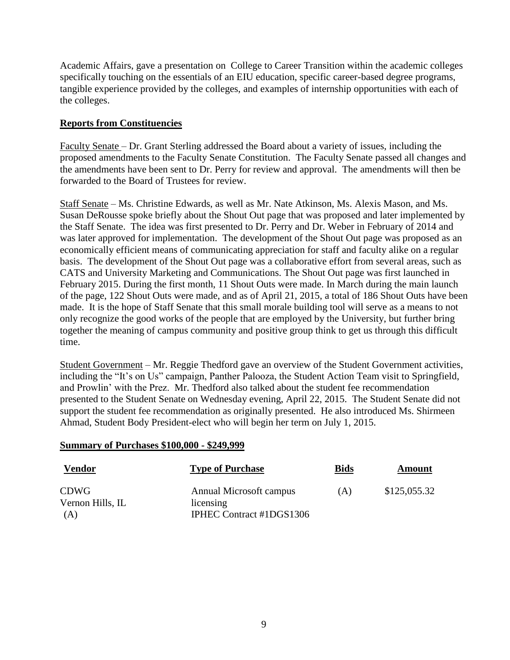Academic Affairs, gave a presentation on College to Career Transition within the academic colleges specifically touching on the essentials of an EIU education, specific career-based degree programs, tangible experience provided by the colleges, and examples of internship opportunities with each of the colleges.

# **Reports from Constituencies**

Faculty Senate – Dr. Grant Sterling addressed the Board about a variety of issues, including the proposed amendments to the Faculty Senate Constitution. The Faculty Senate passed all changes and the amendments have been sent to Dr. Perry for review and approval. The amendments will then be forwarded to the Board of Trustees for review.

Staff Senate – Ms. Christine Edwards, as well as Mr. Nate Atkinson, Ms. Alexis Mason, and Ms. Susan DeRousse spoke briefly about the Shout Out page that was proposed and later implemented by the Staff Senate. The idea was first presented to Dr. Perry and Dr. Weber in February of 2014 and was later approved for implementation. The development of the Shout Out page was proposed as an economically efficient means of communicating appreciation for staff and faculty alike on a regular basis. The development of the Shout Out page was a collaborative effort from several areas, such as CATS and University Marketing and Communications. The Shout Out page was first launched in February 2015. During the first month, 11 Shout Outs were made. In March during the main launch of the page, 122 Shout Outs were made, and as of April 21, 2015, a total of 186 Shout Outs have been made. It is the hope of Staff Senate that this small morale building tool will serve as a means to not only recognize the good works of the people that are employed by the University, but further bring together the meaning of campus community and positive group think to get us through this difficult time.

Student Government – Mr. Reggie Thedford gave an overview of the Student Government activities, including the "It's on Us" campaign, Panther Palooza, the Student Action Team visit to Springfield, and Prowlin' with the Prez. Mr. Thedford also talked about the student fee recommendation presented to the Student Senate on Wednesday evening, April 22, 2015. The Student Senate did not support the student fee recommendation as originally presented. He also introduced Ms. Shirmeen Ahmad, Student Body President-elect who will begin her term on July 1, 2015.

## **Summary of Purchases \$100,000 - \$249,999**

| <b>Vendor</b>    | <b>Type of Purchase</b>  | <u>Bids</u> | Amount       |
|------------------|--------------------------|-------------|--------------|
| <b>CDWG</b>      | Annual Microsoft campus  | (A)         | \$125,055.32 |
| Vernon Hills, IL | licensing                |             |              |
| (A)              | IPHEC Contract #1DGS1306 |             |              |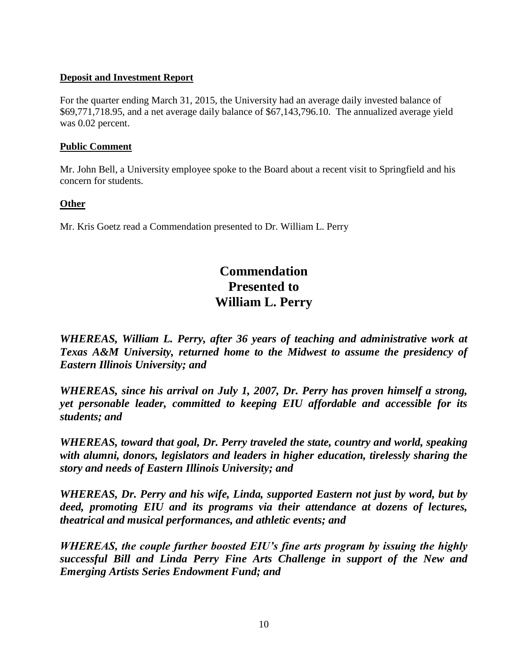# **Deposit and Investment Report**

For the quarter ending March 31, 2015, the University had an average daily invested balance of \$69,771,718.95, and a net average daily balance of \$67,143,796.10. The annualized average yield was 0.02 percent.

## **Public Comment**

Mr. John Bell, a University employee spoke to the Board about a recent visit to Springfield and his concern for students.

## **Other**

Mr. Kris Goetz read a Commendation presented to Dr. William L. Perry

# **Commendation Presented to William L. Perry**

*WHEREAS, William L. Perry, after 36 years of teaching and administrative work at Texas A&M University, returned home to the Midwest to assume the presidency of Eastern Illinois University; and*

*WHEREAS, since his arrival on July 1, 2007, Dr. Perry has proven himself a strong, yet personable leader, committed to keeping EIU affordable and accessible for its students; and*

*WHEREAS, toward that goal, Dr. Perry traveled the state, country and world, speaking with alumni, donors, legislators and leaders in higher education, tirelessly sharing the story and needs of Eastern Illinois University; and*

*WHEREAS, Dr. Perry and his wife, Linda, supported Eastern not just by word, but by deed, promoting EIU and its programs via their attendance at dozens of lectures, theatrical and musical performances, and athletic events; and*

*WHEREAS, the couple further boosted EIU's fine arts program by issuing the highly successful Bill and Linda Perry Fine Arts Challenge in support of the New and Emerging Artists Series Endowment Fund; and*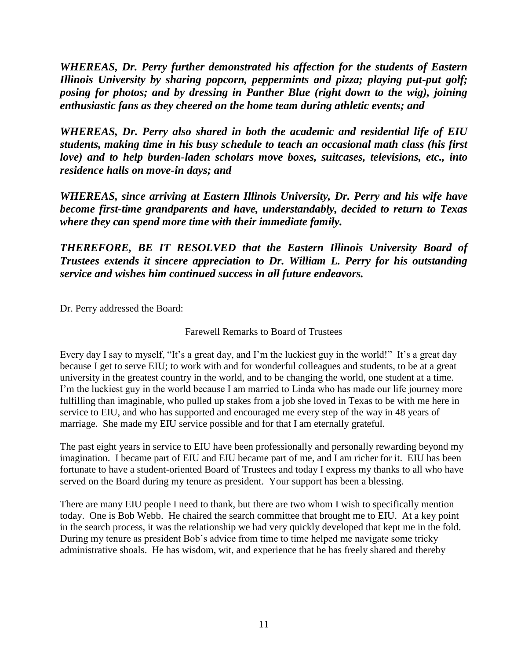*WHEREAS, Dr. Perry further demonstrated his affection for the students of Eastern Illinois University by sharing popcorn, peppermints and pizza; playing put-put golf; posing for photos; and by dressing in Panther Blue (right down to the wig), joining enthusiastic fans as they cheered on the home team during athletic events; and*

*WHEREAS, Dr. Perry also shared in both the academic and residential life of EIU students, making time in his busy schedule to teach an occasional math class (his first love) and to help burden-laden scholars move boxes, suitcases, televisions, etc., into residence halls on move-in days; and* 

*WHEREAS, since arriving at Eastern Illinois University, Dr. Perry and his wife have become first-time grandparents and have, understandably, decided to return to Texas where they can spend more time with their immediate family.*

*THEREFORE, BE IT RESOLVED that the Eastern Illinois University Board of Trustees extends it sincere appreciation to Dr. William L. Perry for his outstanding service and wishes him continued success in all future endeavors.*

Dr. Perry addressed the Board:

Farewell Remarks to Board of Trustees

Every day I say to myself, "It's a great day, and I'm the luckiest guy in the world!" It's a great day because I get to serve EIU; to work with and for wonderful colleagues and students, to be at a great university in the greatest country in the world, and to be changing the world, one student at a time. I'm the luckiest guy in the world because I am married to Linda who has made our life journey more fulfilling than imaginable, who pulled up stakes from a job she loved in Texas to be with me here in service to EIU, and who has supported and encouraged me every step of the way in 48 years of marriage. She made my EIU service possible and for that I am eternally grateful.

The past eight years in service to EIU have been professionally and personally rewarding beyond my imagination. I became part of EIU and EIU became part of me, and I am richer for it. EIU has been fortunate to have a student-oriented Board of Trustees and today I express my thanks to all who have served on the Board during my tenure as president. Your support has been a blessing.

There are many EIU people I need to thank, but there are two whom I wish to specifically mention today. One is Bob Webb. He chaired the search committee that brought me to EIU. At a key point in the search process, it was the relationship we had very quickly developed that kept me in the fold. During my tenure as president Bob's advice from time to time helped me navigate some tricky administrative shoals. He has wisdom, wit, and experience that he has freely shared and thereby